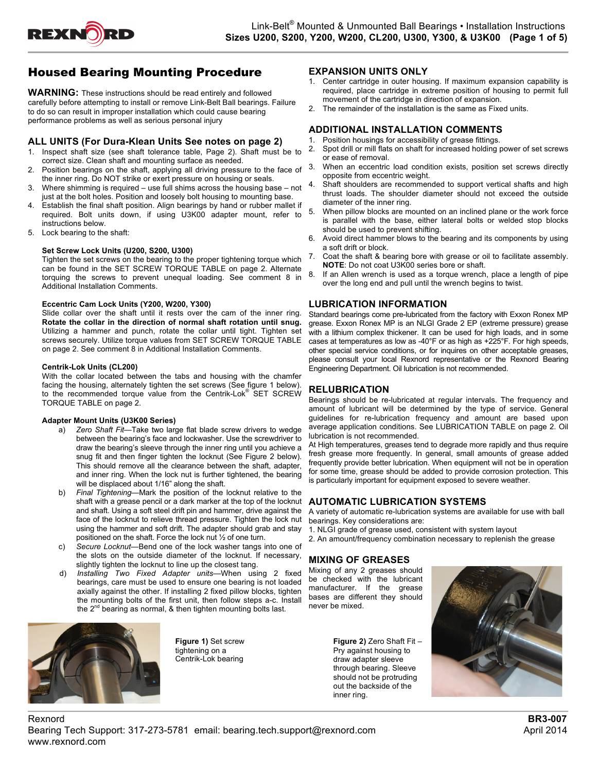

## Housed Bearing Mounting Procedure

**WARNING:** These instructions should be read entirely and followed carefully before attempting to install or remove Link-Belt Ball bearings. Failure to do so can result in improper installation which could cause bearing performance problems as well as serious personal injury

#### **ALL UNITS (For Dura-Klean Units See notes on page 2)**

- 1. Inspect shaft size (see shaft tolerance table, Page 2). Shaft must be to correct size. Clean shaft and mounting surface as needed.
- 2. Position bearings on the shaft, applying all driving pressure to the face of the inner ring. Do NOT strike or exert pressure on housing or seals.
- 3. Where shimming is required use full shims across the housing base not just at the bolt holes. Position and loosely bolt housing to mounting base.
- 4. Establish the final shaft position. Align bearings by hand or rubber mallet if required. Bolt units down, if using U3K00 adapter mount, refer to instructions below.
- 5. Lock bearing to the shaft:

#### **Set Screw Lock Units (U200, S200, U300)**

Tighten the set screws on the bearing to the proper tightening torque which can be found in the SET SCREW TORQUE TABLE on page 2. Alternate torquing the screws to prevent unequal loading. See comment 8 in Additional Installation Comments.

#### **Eccentric Cam Lock Units (Y200, W200, Y300)**

Slide collar over the shaft until it rests over the cam of the inner ring. **Rotate the collar in the direction of normal shaft rotation until snug.** Utilizing a hammer and punch, rotate the collar until tight. Tighten set screws securely. Utilize torque values from SET SCREW TORQUE TABLE on page 2. See comment 8 in Additional Installation Comments.

#### **Centrik-Lok Units (CL200)**

With the collar located between the tabs and housing with the chamfer facing the housing, alternately tighten the set screws (See figure 1 below). to the recommended torque value from the Centrik-Lok® SET SCREW TORQUE TABLE on page 2.

#### **Adapter Mount Units (U3K00 Series)**

- a) *Zero Shaft Fit*—Take two large flat blade screw drivers to wedge between the bearing's face and lockwasher. Use the screwdriver to draw the bearing's sleeve through the inner ring until you achieve a snug fit and then finger tighten the locknut (See Figure 2 below). This should remove all the clearance between the shaft, adapter, and inner ring. When the lock nut is further tightened, the bearing will be displaced about 1/16" along the shaft.
- b) *Final Tightening*—Mark the position of the locknut relative to the shaft with a grease pencil or a dark marker at the top of the locknut and shaft. Using a soft steel drift pin and hammer, drive against the face of the locknut to relieve thread pressure. Tighten the lock nut using the hammer and soft drift. The adapter should grab and stay positioned on the shaft. Force the lock nut ½ of one turn.
- c) *Secure Locknut*—Bend one of the lock washer tangs into one of the slots on the outside diameter of the locknut. If necessary, slightly tighten the locknut to line up the closest tang.
- d) *Installing Two Fixed Adapter units*—When using 2 fixed bearings, care must be used to ensure one bearing is not loaded axially against the other. If installing 2 fixed pillow blocks, tighten the mounting bolts of the first unit, then follow steps a-c. Install the 2<sup>nd</sup> bearing as normal, & then tighten mounting bolts last.



**Figure 1)** Set screw tightening on a Centrik-Lok bearing

**EXPANSION UNITS ONLY** 

- 1. Center cartridge in outer housing. If maximum expansion capability is required, place cartridge in extreme position of housing to permit full movement of the cartridge in direction of expansion.
- The remainder of the installation is the same as Fixed units.

## **ADDITIONAL INSTALLATION COMMENTS**

- 1. Position housings for accessibility of grease fittings. 2. Spot drill or mill flats on shaft for increased holding power of set screws or ease of removal.
- When an eccentric load condition exists, position set screws directly opposite from eccentric weight.
- Shaft shoulders are recommended to support vertical shafts and high thrust loads. The shoulder diameter should not exceed the outside diameter of the inner ring.
- 5. When pillow blocks are mounted on an inclined plane or the work force is parallel with the base, either lateral bolts or welded stop blocks should be used to prevent shifting.
- 6. Avoid direct hammer blows to the bearing and its components by using a soft drift or block.
- Coat the shaft & bearing bore with grease or oil to facilitate assembly. **NOTE**: Do not coat U3K00 series bore or shaft.
- 8. If an Allen wrench is used as a torque wrench, place a length of pipe over the long end and pull until the wrench begins to twist.

#### **LUBRICATION INFORMATION**

Standard bearings come pre-lubricated from the factory with Exxon Ronex MP grease. Exxon Ronex MP is an NLGI Grade 2 EP (extreme pressure) grease with a lithium complex thickener. It can be used for high loads, and in some cases at temperatures as low as -40°F or as high as +225°F. For high speeds, other special service conditions, or for inquires on other acceptable greases, please consult your local Rexnord representative or the Rexnord Bearing Engineering Department. Oil lubrication is not recommended.

#### **RELUBRICATION**

Bearings should be re-lubricated at regular intervals. The frequency and amount of lubricant will be determined by the type of service. General guidelines for re-lubrication frequency and amount are based upon average application conditions. See LUBRICATION TABLE on page 2. Oil lubrication is not recommended.

At High temperatures, greases tend to degrade more rapidly and thus require fresh grease more frequently. In general, small amounts of grease added frequently provide better lubrication. When equipment will not be in operation for some time, grease should be added to provide corrosion protection. This is particularly important for equipment exposed to severe weather.

#### **AUTOMATIC LUBRICATION SYSTEMS**

A variety of automatic re-lubrication systems are available for use with ball bearings. Key considerations are:

- 1. NLGI grade of grease used, consistent with system layout
- 2. An amount/frequency combination necessary to replenish the grease

### **MIXING OF GREASES**

Mixing of any 2 greases should be checked with the lubricant manufacturer. If the grease bases are different they should never be mixed.

> **Figure 2)** Zero Shaft Fit – Pry against housing to draw adapter sleeve through bearing. Sleeve should not be protruding out the backside of the inner ring.

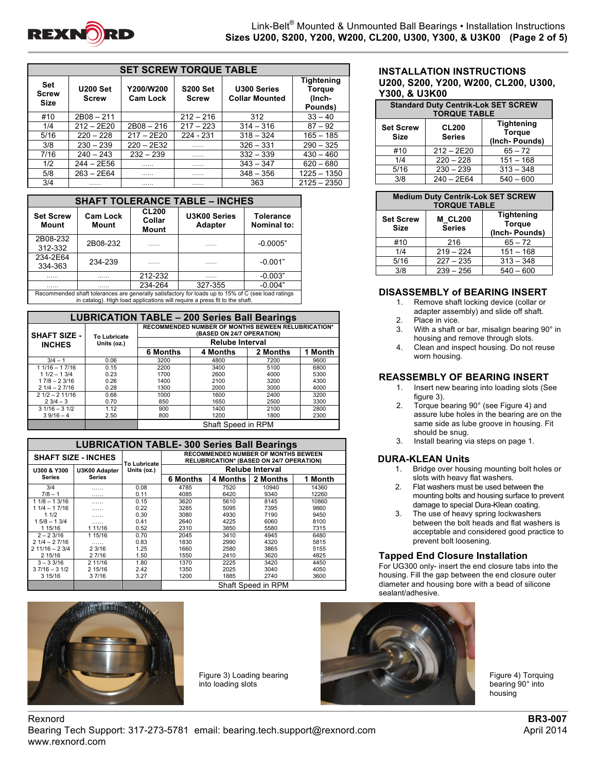

| <b>SET SCREW TORQUE TABLE</b>             |                                                                                                    |              |                                      |                                           |               |  |  |  |  |  |
|-------------------------------------------|----------------------------------------------------------------------------------------------------|--------------|--------------------------------------|-------------------------------------------|---------------|--|--|--|--|--|
| <b>Set</b><br><b>Screw</b><br><b>Size</b> | Y200/W200<br><b>S200 Set</b><br><b>U200 Set</b><br><b>Cam Lock</b><br><b>Screw</b><br><b>Screw</b> |              | U300 Series<br><b>Collar Mounted</b> | Tightening<br>Torque<br>(Inch-<br>Pounds) |               |  |  |  |  |  |
| #10                                       | $2B08 - 211$                                                                                       |              | $212 - 216$                          | 312                                       | $33 - 40$     |  |  |  |  |  |
| 1/4                                       | $212 - 2E20$                                                                                       | $2B08 - 216$ | $217 - 223$                          | $314 - 316$                               | $87 - 92$     |  |  |  |  |  |
| 5/16                                      | $220 - 228$                                                                                        | $217 - 2E20$ | 224 - 231                            | $318 - 324$                               | $165 - 185$   |  |  |  |  |  |
| 3/8                                       | $230 - 239$                                                                                        | $220 - 2E32$ | .                                    | $326 - 331$                               | $290 - 325$   |  |  |  |  |  |
| 7/16                                      | $240 - 243$                                                                                        | $232 - 239$  | .                                    | $332 - 339$                               | $430 - 460$   |  |  |  |  |  |
| 1/2                                       | $244 - 2E56$                                                                                       | .            | .                                    | $343 - 347$                               | $620 - 680$   |  |  |  |  |  |
| 5/8                                       | $263 - 2E64$                                                                                       |              | .                                    | $348 - 356$                               | $1225 - 1350$ |  |  |  |  |  |
| 3/4                                       | .                                                                                                  | .            | .                                    | 363                                       | $2125 - 2350$ |  |  |  |  |  |

| <b>SHAFT TOLERANCE TABLE - INCHES</b>                                                                                                                                            |                          |         |                                |                                        |  |  |  |  |
|----------------------------------------------------------------------------------------------------------------------------------------------------------------------------------|--------------------------|---------|--------------------------------|----------------------------------------|--|--|--|--|
| <b>Set Screw</b><br><b>Mount</b>                                                                                                                                                 | <b>Cam Lock</b><br>Mount |         | U3K00 Series<br><b>Adapter</b> | <b>Tolerance</b><br><b>Nominal to:</b> |  |  |  |  |
| 2B08-232<br>312-332                                                                                                                                                              | 2B08-232                 | .       | .                              | $-0.0005"$                             |  |  |  |  |
| 234-2E64<br>334-363                                                                                                                                                              | 234-239                  | .       | .                              | $-0.001"$                              |  |  |  |  |
| .                                                                                                                                                                                | .                        | 212-232 | .                              | $-0.003"$                              |  |  |  |  |
| .                                                                                                                                                                                | .                        | 234-264 | 327-355                        | $-0.004"$                              |  |  |  |  |
| Recommended shaft tolerances are generally satisfactory for loads up to 15% of C (see load ratings<br>in catalog). High load applications will require a press fit to the shaft. |                          |         |                                |                                        |  |  |  |  |

| <b>LUBRICATION TABLE - 200 Series Ball Bearings</b> |              |                                                                                        |                 |          |         |  |  |  |  |
|-----------------------------------------------------|--------------|----------------------------------------------------------------------------------------|-----------------|----------|---------|--|--|--|--|
| <b>SHAFT SIZE -</b>                                 | To Lubricate | <b>RECOMMENDED NUMBER OF MONTHS BEWEEN RELUBRICATION*</b><br>(BASED ON 24/7 OPERATION) |                 |          |         |  |  |  |  |
| <b>INCHES</b>                                       | Units (oz.)  | <b>Relube Interval</b>                                                                 |                 |          |         |  |  |  |  |
|                                                     |              | 6 Months                                                                               | <b>4 Months</b> | 2 Months | 1 Month |  |  |  |  |
| $3/4 - 1$                                           | 0.06         | 3200                                                                                   | 4800            | 7200     | 9600    |  |  |  |  |
| $11/16 - 17/16$                                     | 0.15         | 2200                                                                                   | 3400            | 5100     | 6800    |  |  |  |  |
| $11/2 - 13/4$                                       | 0.23         | 1700                                                                                   | 2600            | 4000     | 5300    |  |  |  |  |
| $17/8 - 23/16$                                      | 0.26         | 1400                                                                                   | 2100            | 3200     | 4300    |  |  |  |  |
| $21/4 - 27/16$                                      | 0.28         | 1300                                                                                   | 2000            | 3000     | 4000    |  |  |  |  |
| $21/2 - 211/16$                                     | 0.68         | 1000                                                                                   | 1600            | 2400     | 3200    |  |  |  |  |
| $23/4 - 3$                                          | 0.70         | 850                                                                                    | 1650            | 2500     | 3300    |  |  |  |  |
| $31/16 - 31/2$                                      | 1.12         | 900                                                                                    | 1400            | 2100     | 2800    |  |  |  |  |
| $39/16 - 4$                                         | 2.50         | 800<br>1200<br>1800<br>2300                                                            |                 |          |         |  |  |  |  |
|                                                     |              | Shaft Speed in RPM                                                                     |                 |          |         |  |  |  |  |

|                 | <b>LUBRICATION TABLE- 300 Series Ball Bearings</b> |                     |                                                                                               |          |          |         |  |  |  |  |
|-----------------|----------------------------------------------------|---------------------|-----------------------------------------------------------------------------------------------|----------|----------|---------|--|--|--|--|
|                 | <b>SHAFT SIZE - INCHES</b>                         | <b>To Lubricate</b> | <b>RECOMMENDED NUMBER OF MONTHS BEWEEN</b><br><b>RELUBRICATION* (BASED ON 24/7 OPERATION)</b> |          |          |         |  |  |  |  |
| U300 & Y300     | U3K00 Adapter                                      | Units (oz.)         | <b>Relube Interval</b>                                                                        |          |          |         |  |  |  |  |
| <b>Series</b>   | <b>Series</b>                                      |                     | <b>6 Months</b>                                                                               | 4 Months | 2 Months | 1 Month |  |  |  |  |
| 3/4             | .                                                  | 0.08                | 4785                                                                                          | 7520     | 10940    | 14360   |  |  |  |  |
| $7/8 - 1$       | .                                                  | 0.11                | 4085                                                                                          | 6420     | 9340     | 12260   |  |  |  |  |
| $11/8 - 13/16$  | .                                                  | 0.15                | 3620                                                                                          | 5610     | 8145     | 10860   |  |  |  |  |
| 1 1/4 - 1 7/16  | .                                                  | 0.22                | 3285                                                                                          | 5095     | 7395     | 9860    |  |  |  |  |
| 11/2            | .                                                  | 0.30                | 3080                                                                                          | 4930     | 7190     | 9450    |  |  |  |  |
| $15/8 - 13/4$   | .                                                  | 0.41                | 2640                                                                                          | 4225     | 6060     | 8100    |  |  |  |  |
| 1 15/16         | 1 11/16                                            | 0.52                | 2310                                                                                          | 3850     | 5580     | 7315    |  |  |  |  |
| $2 - 23/16$     | 1 15/16                                            | 0.70                | 2045                                                                                          | 3410     | 4945     | 6480    |  |  |  |  |
| $21/4 - 27/16$  | .                                                  | 0.83                | 1830                                                                                          | 2990     | 4320     | 5815    |  |  |  |  |
| $211/16 - 23/4$ | 23/16                                              | 1.25                | 1660                                                                                          | 2580     | 3865     | 5155    |  |  |  |  |
| 2 15/16         | 2 7/16                                             | 1.50                | 1550                                                                                          | 2410     | 3620     | 4825    |  |  |  |  |
| $3 - 33/16$     | 2 11/16                                            | 1.80                | 1370                                                                                          | 2225     | 3420     | 4450    |  |  |  |  |
| $37/16 - 31/2$  | 2 15/16                                            | 2.42                | 1350                                                                                          | 2025     | 3040     | 4050    |  |  |  |  |
| 3 15/16         | 3 7/16                                             | 3.27                | 1200                                                                                          | 1885     | 2740     | 3600    |  |  |  |  |
|                 |                                                    |                     | Shaft Speed in RPM                                                                            |          |          |         |  |  |  |  |



Figure 3) Loading bearing into loading slots

### **INSTALLATION INSTRUCTIONS U200, S200, Y200, W200, CL200, U300, Y300, & U3K00**

| <b>Standard Duty Centrik-Lok SET SCREW</b><br><b>TORQUE TABLE</b> |                                                                                      |             |  |  |  |  |  |
|-------------------------------------------------------------------|--------------------------------------------------------------------------------------|-------------|--|--|--|--|--|
| <b>Set Screw</b><br><b>Size</b>                                   | <b>Tightening</b><br><b>CL200</b><br><b>Torque</b><br><b>Series</b><br>(Inch-Pounds) |             |  |  |  |  |  |
| #10                                                               | $212 - 2E20$                                                                         | $65 - 72$   |  |  |  |  |  |
| 1/4                                                               | $220 - 228$                                                                          | $151 - 168$ |  |  |  |  |  |
| 5/16                                                              | $230 - 239$                                                                          | $313 - 348$ |  |  |  |  |  |
| 3/8                                                               | $240 - 2E64$                                                                         | $540 - 600$ |  |  |  |  |  |

| <b>Medium Duty Centrik-Lok SET SCREW</b><br><b>TORQUE TABLE</b> |                                 |                                                     |  |  |  |  |  |
|-----------------------------------------------------------------|---------------------------------|-----------------------------------------------------|--|--|--|--|--|
| <b>Set Screw</b><br>Size                                        | <b>M CL200</b><br><b>Series</b> | <b>Tightening</b><br><b>Torque</b><br>(Inch-Pounds) |  |  |  |  |  |
| #10                                                             | 216                             | $65 - 72$                                           |  |  |  |  |  |
| 1/4                                                             | $219 - 224$                     | $151 - 168$                                         |  |  |  |  |  |
| 5/16                                                            | $227 - 235$                     | $313 - 348$                                         |  |  |  |  |  |
| 3/8                                                             | $239 - 256$                     | $540 - 600$                                         |  |  |  |  |  |

### **DISASSEMBLY of BEARING INSERT**

- 1. Remove shaft locking device (collar or adapter assembly) and slide off shaft.
- 2. Place in vice.<br>3. With a shaft of
- With a shaft or bar, misalign bearing 90° in housing and remove through slots.
- 4. Clean and inspect housing. Do not reuse worn housing.

## **REASSEMBLY OF BEARING INSERT**

- 1. Insert new bearing into loading slots (See figure 3).
- 2. Torque bearing 90° (see Figure 4) and assure lube holes in the bearing are on the same side as lube groove in housing. Fit should be snug.
- 3. Install bearing via steps on page 1.

## **DURA-KLEAN Units**

- 1. Bridge over housing mounting bolt holes or slots with heavy flat washers.
- 2. Flat washers must be used between the mounting bolts and housing surface to prevent damage to special Dura-Klean coating.
- 3. The use of heavy spring lockwashers between the bolt heads and flat washers is acceptable and considered good practice to prevent bolt loosening.

### **Tapped End Closure Installation**

For UG300 only- insert the end closure tabs into the housing. Fill the gap between the end closure outer diameter and housing bore with a bead of silicone sealant/adhesive.



Figure 4) Torquing bearing 90° into housing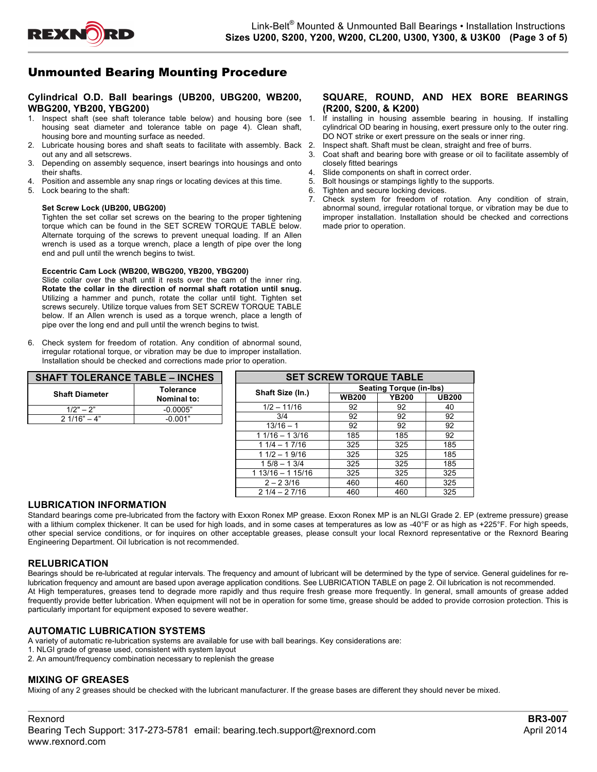

# Unmounted Bearing Mounting Procedure

### **Cylindrical O.D. Ball bearings (UB200, UBG200, WB200, WBG200, YB200, YBG200)**

- 1. Inspect shaft (see shaft tolerance table below) and housing bore (see housing seat diameter and tolerance table on page 4). Clean shaft, housing bore and mounting surface as needed.
- 2. Lubricate housing bores and shaft seats to facilitate with assembly. Back 2. out any and all setscrews.
- 3. Depending on assembly sequence, insert bearings into housings and onto their shafts.
- 4. Position and assemble any snap rings or locating devices at this time.
- 5. Lock bearing to the shaft:

#### **Set Screw Lock (UB200, UBG200)**

Tighten the set collar set screws on the bearing to the proper tightening torque which can be found in the SET SCREW TORQUE TABLE below. Alternate torquing of the screws to prevent unequal loading. If an Allen wrench is used as a torque wrench, place a length of pipe over the long end and pull until the wrench begins to twist.

#### **Eccentric Cam Lock (WB200, WBG200, YB200, YBG200)**

Slide collar over the shaft until it rests over the cam of the inner ring. **Rotate the collar in the direction of normal shaft rotation until snug.** Utilizing a hammer and punch, rotate the collar until tight. Tighten set screws securely. Utilize torque values from SET SCREW TORQUE TABLE below. If an Allen wrench is used as a torque wrench, place a length of pipe over the long end and pull until the wrench begins to twist.

6. Check system for freedom of rotation. Any condition of abnormal sound, irregular rotational torque, or vibration may be due to improper installation. Installation should be checked and corrections made prior to operation.

| <b>SHAFT TOLERANCE TABLE - INCHES</b> |                                 |  |  |  |  |
|---------------------------------------|---------------------------------|--|--|--|--|
| <b>Shaft Diameter</b>                 | <b>Tolerance</b><br>Nominal to: |  |  |  |  |
| $1/2" - 2"$                           | $-0.0005"$                      |  |  |  |  |
| $2 1/16" - 4"$                        | $-0.001"$                       |  |  |  |  |

| <b>SET SCREW TORQUE TABLE</b> |              |                                |              |  |  |  |  |  |
|-------------------------------|--------------|--------------------------------|--------------|--|--|--|--|--|
|                               |              | <b>Seating Torque (in-lbs)</b> |              |  |  |  |  |  |
| Shaft Size (In.)              | <b>WB200</b> | <b>YB200</b>                   | <b>UB200</b> |  |  |  |  |  |
| $1/2 - 11/16$                 | 92           | 92                             | 40           |  |  |  |  |  |
| 3/4                           | 92           | 92                             | 92           |  |  |  |  |  |
| $13/16 - 1$                   | 92           | 92                             | 92           |  |  |  |  |  |
| $11/16 - 13/16$               | 185          | 185                            | 92           |  |  |  |  |  |
| $11/4 - 17/16$                | 325          | 325                            | 185          |  |  |  |  |  |
| $11/2 - 19/16$                | 325          | 325                            | 185          |  |  |  |  |  |
| $15/8 - 13/4$                 | 325          | 325                            | 185          |  |  |  |  |  |
| 1 13/16 - 1 15/16             | 325          | 325                            | 325          |  |  |  |  |  |
| $2 - 23/16$                   | 460          | 460                            | 325          |  |  |  |  |  |
| $21/4 - 27/16$                | 460          | 460                            | 325          |  |  |  |  |  |

#### **LUBRICATION INFORMATION**

Standard bearings come pre-lubricated from the factory with Exxon Ronex MP grease. Exxon Ronex MP is an NLGI Grade 2. EP (extreme pressure) grease with a lithium complex thickener. It can be used for high loads, and in some cases at temperatures as low as -40°F or as high as +225°F. For high speeds, other special service conditions, or for inquires on other acceptable greases, please consult your local Rexnord representative or the Rexnord Bearing Engineering Department. Oil lubrication is not recommended.

#### **RELUBRICATION**

Bearings should be re-lubricated at regular intervals. The frequency and amount of lubricant will be determined by the type of service. General guidelines for relubrication frequency and amount are based upon average application conditions. See LUBRICATION TABLE on page 2. Oil lubrication is not recommended. At High temperatures, greases tend to degrade more rapidly and thus require fresh grease more frequently. In general, small amounts of grease added frequently provide better lubrication. When equipment will not be in operation for some time, grease should be added to provide corrosion protection. This is particularly important for equipment exposed to severe weather.

### **AUTOMATIC LUBRICATION SYSTEMS**

A variety of automatic re-lubrication systems are available for use with ball bearings. Key considerations are:

- 1. NLGI grade of grease used, consistent with system layout
- 2. An amount/frequency combination necessary to replenish the grease

## **MIXING OF GREASES**

Mixing of any 2 greases should be checked with the lubricant manufacturer. If the grease bases are different they should never be mixed.

### **SQUARE, ROUND, AND HEX BORE BEARINGS (R200, S200, & K200)**

- If installing in housing assemble bearing in housing. If installing cylindrical OD bearing in housing, exert pressure only to the outer ring. DO NOT strike or exert pressure on the seals or inner ring.
- Inspect shaft. Shaft must be clean, straight and free of burrs.
- Coat shaft and bearing bore with grease or oil to facilitate assembly of closely fitted bearings
- Slide components on shaft in correct order.
- 5. Bolt housings or stampings lightly to the supports.
- 6. Tighten and secure locking devices.
- 7. Check system for freedom of rotation. Any condition of strain, abnormal sound, irregular rotational torque, or vibration may be due to improper installation. Installation should be checked and corrections made prior to operation.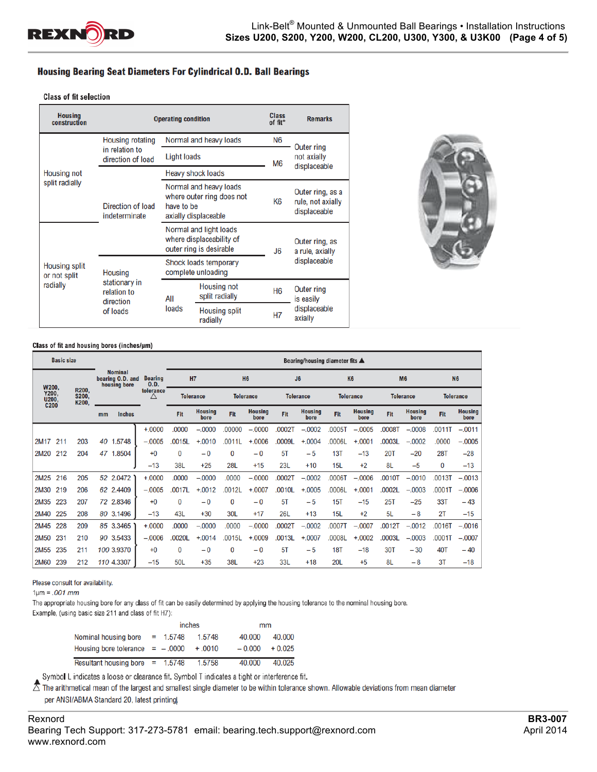

### **Housing Bearing Seat Diameters For Cylindrical O.D. Ball Bearings**

#### **Class of fit selection**

| <b>Housing</b><br>construction                   |                                           | <b>Operating condition</b>                                                    |                                                                             | Class<br>of fit* | <b>Remarks</b>                                        |  |
|--------------------------------------------------|-------------------------------------------|-------------------------------------------------------------------------------|-----------------------------------------------------------------------------|------------------|-------------------------------------------------------|--|
|                                                  | <b>Housing rotating</b>                   |                                                                               | Normal and heavy loads                                                      | N6               | Outer ring                                            |  |
|                                                  | in relation to<br>direction of load       |                                                                               | <b>Light loads</b>                                                          |                  | not axially<br>displaceable                           |  |
| <b>Housing not</b>                               |                                           |                                                                               | Heavy shock loads                                                           | M <sub>6</sub>   |                                                       |  |
| split radially                                   | Direction of load<br>indeterminate        | have to be                                                                    | Normal and heavy loads<br>where outer ring does not<br>axially displaceable | K6               | Outer ring, as a<br>rule, not axially<br>displaceable |  |
|                                                  |                                           | Normal and light loads<br>where displaceability of<br>outer ring is desirable |                                                                             | J6               | Outer ring, as<br>a rule, axially                     |  |
| <b>Housing split</b><br>or not split<br>radially | <b>Housing</b>                            | Shock loads temporary<br>complete unloading                                   |                                                                             |                  | displaceable                                          |  |
|                                                  | stationary in<br>relation to<br>direction | All                                                                           | Housing not<br>split radially                                               | H <sub>6</sub>   | Outer ring<br>is easily                               |  |
|                                                  | of loads                                  | loads                                                                         | <b>Housing split</b><br>radially                                            | <b>H7</b>        | displaceable<br>axially                               |  |



#### Class of fit and housing bores (inches/µm)

|                                                                                                     | <b>Basic size</b> |                  |                |                        |          | Bearing/housing diameter fits ▲ |                        |                  |                        |                |                        |                  |                        |                  |                        |            |                        |
|-----------------------------------------------------------------------------------------------------|-------------------|------------------|----------------|------------------------|----------|---------------------------------|------------------------|------------------|------------------------|----------------|------------------------|------------------|------------------------|------------------|------------------------|------------|------------------------|
| <b>Nominal</b><br>housing bore<br>W200,<br>R200.<br>Y200,<br><b>S200,</b><br>U200,<br>C200<br>K200, |                   | bearing O.D. and |                | <b>Bearing</b><br>0.D. |          | H7                              |                        | <b>H6</b>        |                        | J <sub>6</sub> |                        | <b>K6</b>        |                        | <b>M6</b>        |                        | <b>N6</b>  |                        |
|                                                                                                     |                   |                  | tolerance<br>Δ | <b>Tolerance</b>       |          | <b>Tolerance</b>                |                        | <b>Tolerance</b> |                        |                | <b>Tolerance</b>       | <b>Tolerance</b> |                        | <b>Tolerance</b> |                        |            |                        |
|                                                                                                     |                   |                  | mm             | <b>Inches</b>          |          | Fit                             | <b>Housing</b><br>bore | Fit              | <b>Housing</b><br>bore | Fit            | <b>Housing</b><br>bore | Fit              | <b>Housing</b><br>bore | Fit              | <b>Housing</b><br>bore | Fit        | <b>Housing</b><br>bore |
|                                                                                                     |                   |                  |                |                        | $+.0000$ | .0000                           | $-.0000$               | .00000           | $-.0000$               | .0002T         | $-.0002$               | .0005T           | $-.0005$               | 0008T            | $-.0008$               | .0011T     | $-.0011$               |
| 2M17                                                                                                | 211               | 203              | 40             | 1.5748                 | $-.0005$ | .0015L                          | $+.0010$               | .0011L           | $+.0006$               | 0009L          | $+.0004$               | .0006L           | $+.0001$               | .0003L           | $-.0002$               | .0000      | $-.0005$               |
| 2M20                                                                                                | 212               | 204              |                | 47 1.8504              | $+0$     | $\bf{0}$                        | $-0$                   | $\mathbf{0}$     | $-0$                   | 5T             | $-5$                   | 13T              | $-13$                  | 20T              | $-20$                  | <b>28T</b> | $-28$                  |
|                                                                                                     |                   |                  |                |                        | $-13$    | 38L                             | $+25$                  | <b>28L</b>       | $+15$                  | 23L            | $+10$                  | 15L              | $+2$                   | 8L               | $-5$                   | 0          | $-13$                  |
| 2M25                                                                                                | 216               | 205              |                | 52 2.0472              | $+.0000$ | .0000                           | $-.0000$               | .0000            | $-.0000$               | .0002T         | $-.0002$               | <b>T8000.</b>    | $-.0006$               | .0010T           | $-.0010$               | .0013T     | $-.0013$               |
| 2M30                                                                                                | 219               | 206              |                | 62 2.4409              | $-.0005$ | .0017L                          | $+.0012$               | .0012L           | $+.0007$               | .0010L         | $+.0005$               | .0006L           | $+.0001$               | .0002L           | $-.0003$               | .0001T     | $-.0006$               |
| 2M35                                                                                                | 223               | 207              |                | 72 2.8346              | $+0$     | $\Omega$                        | $-0$                   | 0                | $-0$                   | 5T             | $-5$                   | 15T              | $-15$                  | 25T              | $-25$                  | 33T        | $-43$                  |
| 2M40                                                                                                | 225               | 208              |                | 80 3.1496              | $-13$    | 43L                             | $+30$                  | 30L              | $+17$                  | 26L            | $+13$                  | 15L              | $+2$                   | 5L               | $-8$                   | 2T         | $-15$                  |
| 2M45                                                                                                | 228               | 209              |                | 85 3.3465              | $+.0000$ | .0000                           | $-.0000$               | .0000            | $-.0000$               | 0002T          | $-.0002$               | 0007T            | $-.0007$               | .0012T           | $-.0012$               | .0016T     | $-.0016$               |
| 2M50                                                                                                | 231               | 210              |                | 90 3.5433              | $-.0006$ | .0020L                          | $+.0014$               | .0015L           | $+.0009$               | .0013L         | $+.0007$               | .0008L           | $+.0002$               | .0003L           | $-.0003$               | .0001T     | $-.0007$               |
| 2M <sub>55</sub>                                                                                    | 235               | 211              |                | 100 3.9370             | $+0$     | 0                               | $-0$                   | 0                | $-0$                   | 5T             | $-5$                   | <b>18T</b>       | $-18$                  | <b>30T</b>       | $-30$                  | 40T        | $-40$                  |
| <b>2M60</b>                                                                                         | 239               | 212              |                | 110 4.3307             | $-15$    | 50L                             | $+35$                  | 38L              | $+23$                  | 33L            | $+18$                  | 20L              | $+5$                   | 8L               | $-8$                   | 3T         | $-18$                  |

Please consult for availability.

 $1 \mu m = .001$  mm

The appropriate housing bore for any class of fit can be easily determined by applying the housing tolerance to the nominal housing bore.

Example, (using basic size 211 and class of fit H7):

|                                   |            | inches    | mm       |          |  |
|-----------------------------------|------------|-----------|----------|----------|--|
| Nominal housing bore              | $= 1.5748$ | 1.5748    | 40.000   | 40.000   |  |
| Housing bore tolerance $=$ -.0000 |            | $+ .0010$ | $-0.000$ | $+0.025$ |  |
| Resultant housing bore $= 1.5748$ |            | 1.5758    | 40.000   | 40.025   |  |

Symbol L indicates a loose or clearance fit. Symbol T indicates a tight or interference fit.

 $\bar{\triangle}$  The arithmetical mean of the largest and smallest single diameter to be within tolerance shown. Allowable deviations from mean diameter per ANSI/ABMA Standard 20, latest printing